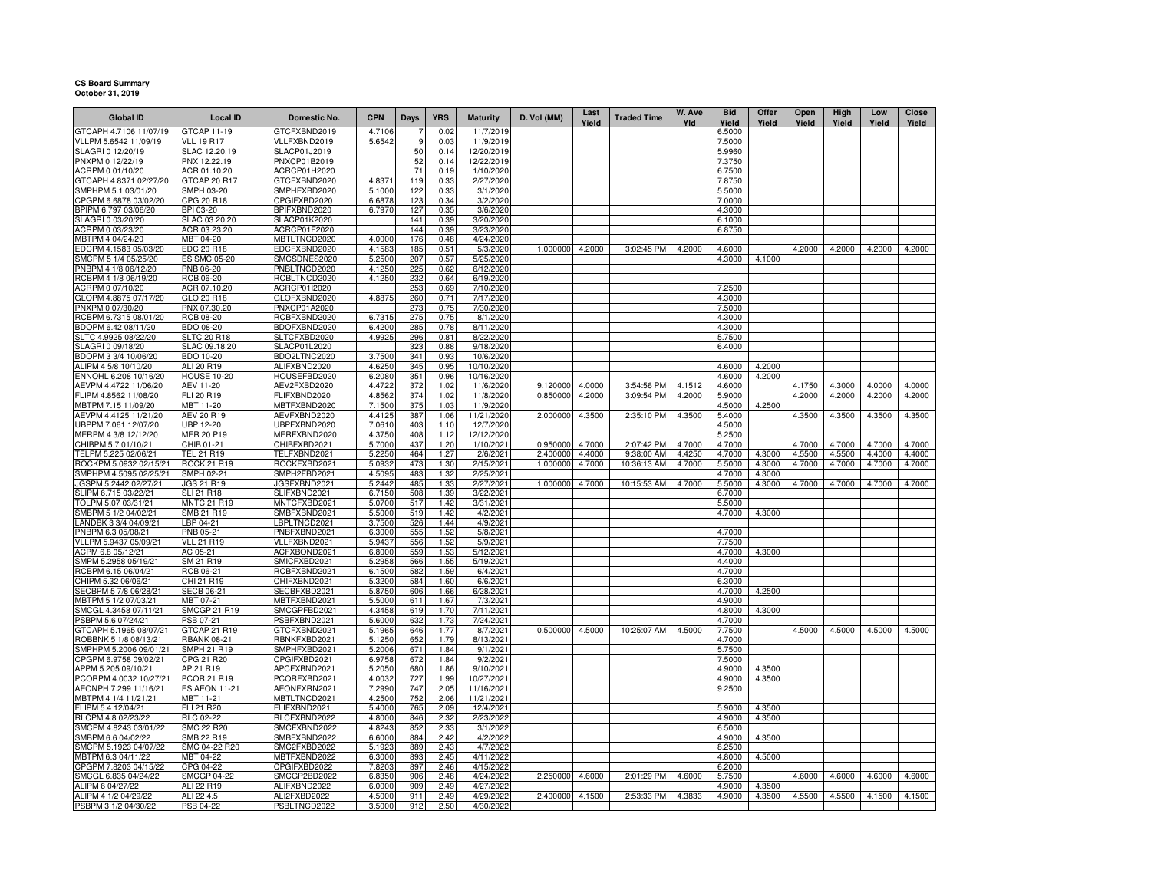## **CS Board Summary October 31, 2019**

| <b>Global ID</b>                                | <b>Local ID</b>                     | Domestic No.                        | <b>CPN</b>       | Days       | <b>YRS</b>   | <b>Maturity</b>          | D. Vol (MM)     | Last<br>Yield | <b>Traded Time</b> | W. Ave<br>Yld | <b>Bid</b><br>Yield | Offer<br>Yield   | Open<br>Yield | High<br>Yield | Low<br>Yield | Close<br>Yield |
|-------------------------------------------------|-------------------------------------|-------------------------------------|------------------|------------|--------------|--------------------------|-----------------|---------------|--------------------|---------------|---------------------|------------------|---------------|---------------|--------------|----------------|
| GTCAPH 4.7106 11/07/19                          | GTCAP 11-19                         | GTCFXBND2019                        | 4.7106           |            | 0.02         | 11/7/2019                |                 |               |                    |               | 6.5000              |                  |               |               |              |                |
| VLLPM 5.6542 11/09/19                           | <b>VLL 19 R17</b>                   | VLLFXBND2019                        | 5.6542           | 9          | 0.03         | 11/9/2019                |                 |               |                    |               | 7.5000              |                  |               |               |              |                |
| SLAGRI 0 12/20/19                               | SLAC 12.20.19                       | SLACP01J2019                        |                  | 50         | 0.14         | 12/20/2019               |                 |               |                    |               | 5.9960              |                  |               |               |              |                |
| PNXPM 0 12/22/19                                | PNX 12.22.19                        | PNXCP01B2019                        |                  | 52         | 0.14         | 12/22/2019               |                 |               |                    |               | 7.3750              |                  |               |               |              |                |
| ACRPM 0 01/10/20                                | ACR 01.10.20                        | ACRCP01H2020                        |                  | 71         | 0.19         | 1/10/2020                |                 |               |                    |               | 6.7500              |                  |               |               |              |                |
| GTCAPH 4.8371 02/27/20                          | GTCAP 20 R17                        | GTCFXBND2020                        | 4.8371           | 119        | 0.33         | 2/27/2020                |                 |               |                    |               | 7.8750              |                  |               |               |              |                |
| SMPHPM 5.1 03/01/20                             | SMPH 03-20                          | SMPHFXBD2020                        | 5.1000           | 122        | 0.33         | 3/1/2020                 |                 |               |                    |               | 5.5000              |                  |               |               |              |                |
| CPGPM 6.6878 03/02/20                           | CPG 20 R18                          | CPGIFXBD2020                        | 6.6878           | 123        | 0.34         | 3/2/2020                 |                 |               |                    |               | 7.0000              |                  |               |               |              |                |
| BPIPM 6.797 03/06/20<br>SLAGRI 0 03/20/20       | BPI 03-20                           | BPIFXBND2020                        | 6.7970           | 127        | 0.35<br>0.39 | 3/6/2020                 |                 |               |                    |               | 4.3000<br>6.1000    |                  |               |               |              |                |
| ACRPM 0 03/23/20                                | SLAC 03.20.20<br>ACR 03.23.20       | <b>SLACP01K2020</b><br>ACRCP01F2020 |                  | 141<br>144 | 0.39         | 3/20/2020<br>3/23/2020   |                 |               |                    |               | 6.8750              |                  |               |               |              |                |
| MBTPM 4 04/24/20                                | MBT 04-20                           | MBTLTNCD2020                        | 4.0000           | 176        | 0.48         | 4/24/2020                |                 |               |                    |               |                     |                  |               |               |              |                |
| EDCPM 4.1583 05/03/20                           | EDC 20 R18                          | EDCFXBND2020                        | 4.1583           | 185        | 0.51         | 5/3/2020                 | 1.000000        | 4.2000        | 3:02:45 PM         | 4.2000        | 4.6000              |                  | 4.2000        | 4.2000        | 4.2000       | 4.2000         |
| SMCPM 5 1/4 05/25/20                            | ES SMC 05-20                        | SMCSDNES2020                        | 5.2500           | 207        | 0.57         | 5/25/2020                |                 |               |                    |               | 4.3000              | 4.1000           |               |               |              |                |
| PNBPM 4 1/8 06/12/20                            | PNB 06-20                           | PNBLTNCD2020                        | 4.1250           | 225        | 0.62         | 6/12/2020                |                 |               |                    |               |                     |                  |               |               |              |                |
| RCBPM 4 1/8 06/19/20                            | <b>RCB 06-20</b>                    | RCBLTNCD2020                        | 4.1250           | 232        | 0.64         | 6/19/2020                |                 |               |                    |               |                     |                  |               |               |              |                |
| ACRPM 0 07/10/20                                | ACR 07.10.20                        | ACRCP01I2020                        |                  | 253        | 0.69         | 7/10/2020                |                 |               |                    |               | 7.2500              |                  |               |               |              |                |
| GLOPM 4.8875 07/17/20                           | GLO 20 R18                          | GLOFXBND2020                        | 4.8875           | 260        | 0.71         | 7/17/2020                |                 |               |                    |               | 4.3000              |                  |               |               |              |                |
| PNXPM 0 07/30/20                                | PNX 07.30.20                        | PNXCP01A2020                        |                  | 273        | 0.75         | 7/30/2020                |                 |               |                    |               | 7.5000              |                  |               |               |              |                |
| RCBPM 6.7315 08/01/20                           | RCB 08-20                           | RCBFXBND2020                        | 6.7315           | 275        | 0.75         | 8/1/2020                 |                 |               |                    |               | 4.3000              |                  |               |               |              |                |
| BDOPM 6.42 08/11/20                             | <b>BDO 08-20</b>                    | BDOFXBND2020                        | 6.4200           | 285        | 0.78         | 8/11/2020                |                 |               |                    |               | 4.3000              |                  |               |               |              |                |
| SLTC 4.9925 08/22/20<br>SLAGRI 0 09/18/20       | <b>SLTC 20 R18</b><br>SLAC 09.18.20 | SLTCFXBD2020<br>SLACP01L2020        | 4.9925           | 296<br>323 | 0.81<br>0.88 | 8/22/2020<br>9/18/2020   |                 |               |                    |               | 5.7500<br>6.4000    |                  |               |               |              |                |
| BDOPM 3 3/4 10/06/20                            | BDO 10-20                           | BDO2LTNC2020                        | 3.7500           | 341        | 0.93         | 10/6/2020                |                 |               |                    |               |                     |                  |               |               |              |                |
| ALIPM 4 5/8 10/10/20                            | ALI 20 R19                          | ALIFXBND2020                        | 4.6250           | 345        | 0.95         | 10/10/2020               |                 |               |                    |               | 4.6000              | 4.2000           |               |               |              |                |
| ENNOHL 6.208 10/16/20                           | <b>HOUSE 10-20</b>                  | HOUSEFBD2020                        | 6.2080           | 351        | 0.96         | 10/16/2020               |                 |               |                    |               | 4.6000              | 4.2000           |               |               |              |                |
| AEVPM 4.4722 11/06/20                           | AEV 11-20                           | AEV2FXBD2020                        | 4.4722           | 372        | 1.02         | 11/6/2020                | 9.120000        | 4.0000        | 3:54:56 PM         | 4.1512        | 4.6000              |                  | 4.1750        | 4.3000        | 4.0000       | 4.0000         |
| FLIPM 4.8562 11/08/20                           | FLI 20 R19                          | FLIFXBND2020                        | 4.8562           | 374        | 1.02         | 11/8/2020                | 0.850000        | 4.2000        | 3:09:54 PM         | 4.2000        | 5.9000              |                  | 4.2000        | 4.2000        | 4.2000       | 4.2000         |
| MBTPM 7.15 11/09/20                             | MBT 11-20                           | MBTFXBND2020                        | 7.1500           | 375        | 1.03         | 11/9/2020                |                 |               |                    |               | 4.5000              | 4.2500           |               |               |              |                |
| AEVPM 4.4125 11/21/20                           | AEV 20 R19                          | AEVFXBND2020                        | 4.4125           | 387        | 1.06         | 11/21/2020               | 2.000000        | 4.3500        | 2:35:10 PM         | 4.3500        | 5.4000              |                  | 4.3500        | 4.3500        | 4.3500       | 4.3500         |
| UBPPM 7.061 12/07/20                            | <b>UBP 12-20</b>                    | UBPFXBND2020                        | 7.0610           | 403        | 1.10         | 12/7/2020                |                 |               |                    |               | 4.5000              |                  |               |               |              |                |
| MERPM 4 3/8 12/12/20                            | <b>MER 20 P19</b>                   | MERFXBND2020                        | 4.3750           | 408        | 1.12         | 12/12/2020               |                 |               |                    |               | 5.2500              |                  |               |               |              |                |
| CHIBPM 5.7 01/10/21                             | CHIB 01-21                          | CHIBFXBD2021                        | 5.7000           | 437        | 1.20         | 1/10/2021                | 0.950000        | 4.7000        | 2:07:42 PM         | 4.7000        | 4.7000              |                  | 4.7000        | 4.7000        | 4.7000       | 4.7000         |
| TELPM 5.225 02/06/21                            | TEL 21 R19                          | TELFXBND2021                        | 5.2250           | 464        | 1.27         | 2/6/2021                 | 2.400000        | 4.4000        | 9:38:00 AM         | 4.4250        | 4.7000              | 4.3000           | 4.5500        | 4.5500        | 4.4000       | 4.4000         |
| ROCKPM 5.0932 02/15/2<br>SMPHPM 4.5095 02/25/21 | <b>ROCK 21 R19</b><br>SMPH 02-21    | ROCKFXBD2021<br>SMPH2FBD2021        | 5.0932<br>4.5095 | 473<br>483 | 1.30         | 2/15/2021<br>2/25/2021   | 1.000000        | 4.7000        | 10:36:13 AM        | 4.7000        | 5.5000<br>4.7000    | 4.3000<br>4.3000 | 4.7000        | 4.7000        | 4.7000       | 4.7000         |
| JGSPM 5.2442 02/27/21                           | JGS 21 R19                          | JGSFXBND2021                        | 5.2442           | 485        | 1.32<br>1.33 | 2/27/2021                | 1.000000        | 4.7000        | 10:15:53 AM        | 4.7000        | 5.5000              | 4.3000           | 4.7000        | 4.7000        | 4.7000       | 4.7000         |
| SLIPM 6.715 03/22/21                            | <b>SLI 21 R18</b>                   | SLIFXBND2021                        | 6.7150           | 508        | 1.39         | 3/22/2021                |                 |               |                    |               | 6.7000              |                  |               |               |              |                |
| TOLPM 5.07 03/31/21                             | <b>MNTC 21 R19</b>                  | MNTCFXBD2021                        | 5.0700           | 517        | 1.42         | 3/31/2021                |                 |               |                    |               | 5.5000              |                  |               |               |              |                |
| SMBPM 5 1/2 04/02/21                            | SMB 21 R19                          | SMBFXBND2021                        | 5.5000           | 519        | 1.42         | 4/2/2021                 |                 |               |                    |               | 4.7000              | 4.3000           |               |               |              |                |
| LANDBK 3 3/4 04/09/21                           | LBP 04-21                           | LBPLTNCD2021                        | 3.7500           | 526        | 1.44         | 4/9/2021                 |                 |               |                    |               |                     |                  |               |               |              |                |
| PNBPM 6.3 05/08/21                              | PNB 05-21                           | PNBFXBND2021                        | 6.3000           | 555        | 1.52         | 5/8/2021                 |                 |               |                    |               | 4.7000              |                  |               |               |              |                |
| VLLPM 5.9437 05/09/21                           | <b>VLL 21 R19</b>                   | VLLFXBND2021                        | 5.9437           | 556        | 1.52         | 5/9/2021                 |                 |               |                    |               | 7.7500              |                  |               |               |              |                |
| ACPM 6.8 05/12/21                               | AC 05-21                            | ACFXBOND2021                        | 6.8000           | 559        | 1.53         | 5/12/2021                |                 |               |                    |               | 4.7000              | 4.3000           |               |               |              |                |
| SMPM 5.2958 05/19/21                            | SM 21 R19                           | SMICFXBD2021                        | 5.2958           | 566        | 1.55         | 5/19/2021                |                 |               |                    |               | 4.4000              |                  |               |               |              |                |
| RCBPM 6.15 06/04/21                             | RCB 06-21                           | RCBFXBND2021                        | 6.1500           | 582        | 1.59         | 6/4/2021                 |                 |               |                    |               | 4.7000              |                  |               |               |              |                |
| CHIPM 5.32 06/06/21<br>SECBPM 5 7/8 06/28/21    | CHI 21 R19<br><b>SECB 06-21</b>     | CHIFXBND2021<br>SECBFXBD2021        | 5.3200<br>5.8750 | 584<br>606 | 1.60<br>1.66 | 6/6/2021<br>6/28/2021    |                 |               |                    |               | 6.3000<br>4.7000    | 4.2500           |               |               |              |                |
| MBTPM 5 1/2 07/03/21                            | MBT 07-21                           | MBTFXBND2021                        | 5.5000           | 611        | 1.67         | 7/3/2021                 |                 |               |                    |               | 4.9000              |                  |               |               |              |                |
| SMCGL 4.3458 07/11/21                           | <b>SMCGP 21 R19</b>                 | SMCGPFBD2021                        | 4.3458           | 619        | 1.70         | 7/11/2021                |                 |               |                    |               | 4.8000              | 4.3000           |               |               |              |                |
| PSBPM 5.6 07/24/21                              | PSB 07-21                           | PSBFXBND2021                        | 5.6000           | 632        | 1.73         | 7/24/2021                |                 |               |                    |               | 4.7000              |                  |               |               |              |                |
| GTCAPH 5.1965 08/07/21                          | GTCAP 21 R19                        | GTCFXBND2021                        | 5.1965           | 646        | 1.77         | 8/7/2021                 | 0.500000 4.5000 |               | 10:25:07 AM        | 4.5000        | 7.7500              |                  | 4.5000        | 4.5000        | 4.5000       | 4.5000         |
| ROBBNK 5 1/8 08/13/21                           | <b>RBANK 08-21</b>                  | RBNKFXBD2021                        | 5.1250           | 652        | 1.79         | 8/13/2021                |                 |               |                    |               | 4.7000              |                  |               |               |              |                |
| SMPHPM 5.2006 09/01/21                          | SMPH 21 R19                         | SMPHFXBD2021                        | 5.2006           | 671        | 1.84         | 9/1/2021                 |                 |               |                    |               | 5.7500              |                  |               |               |              |                |
| CPGPM 6.9758 09/02/21                           | CPG 21 R20                          | CPGIFXBD2021                        | 6.9758           | 672        | 1.84         | 9/2/2021                 |                 |               |                    |               | 7.5000              |                  |               |               |              |                |
| APPM 5.205 09/10/21                             | AP 21 R19                           | APCFXBND2021                        | 5.2050           | <b>680</b> | 1.86         | 9/10/2021                |                 |               |                    |               | 4.9000              | 4.3500           |               |               |              |                |
| PCORPM 4.0032 10/27/21                          | <b>PCOR 21 R19</b>                  | PCORFXBD2021                        | 4.0032           | 727        | 1.99         | 10/27/2021               |                 |               |                    |               | 4.9000              | 4.3500           |               |               |              |                |
| AEONPH 7.299 11/16/21<br>MBTPM 4 1/4 11/21/21   | <b>ES AEON 11-21</b><br>MBT 11-21   | AEONFXRN2021<br>MBTLTNCD2021        | 7.2990<br>4.2500 | 747<br>752 | 2.05<br>2.06 | 11/16/2021<br>11/21/2021 |                 |               |                    |               | 9.2500              |                  |               |               |              |                |
| FLIPM 5.4 12/04/21                              | FLI 21 R20                          | FLIFXBND2021                        | 5.4000           | 765        | 2.09         | 12/4/2021                |                 |               |                    |               | 5.9000              | 4.3500           |               |               |              |                |
| RLCPM 4.8 02/23/22                              | <b>RLC 02-22</b>                    | RLCFXBND2022                        | 4.8000           | 846        | 2.32         | 2/23/2022                |                 |               |                    |               | 4.9000              | 4.3500           |               |               |              |                |
| SMCPM 4.8243 03/01/22                           | <b>SMC 22 R20</b>                   | SMCFXBND2022                        | 4.8243           | 852        | 2.33         | 3/1/2022                 |                 |               |                    |               | 6.5000              |                  |               |               |              |                |
| SMBPM 6.6 04/02/22                              | SMB 22 R19                          | SMBFXBND2022                        | 6.6000           | 884        | 2.42         | 4/2/2022                 |                 |               |                    |               | 4.9000              | 4.3500           |               |               |              |                |
| SMCPM 5.1923 04/07/22                           | SMC 04-22 R20                       | SMC2FXBD2022                        | 5.1923           | 889        | 2.43         | 4/7/2022                 |                 |               |                    |               | 8.2500              |                  |               |               |              |                |
| MBTPM 6.3 04/11/22                              | MBT 04-22                           | MBTFXBND2022                        | 6.3000           | 893        | 2.45         | 4/11/2022                |                 |               |                    |               | 4.8000              | 4.5000           |               |               |              |                |
| CPGPM 7.8203 04/15/22                           | CPG 04-22                           | CPGIFXBD2022                        | 7.8203           | 897        | 2.46         | 4/15/2022                |                 |               |                    |               | 6.2000              |                  |               |               |              |                |
| SMCGL 6.835 04/24/22                            | SMCGP 04-22                         | SMCGP2BD2022                        | 6.8350           | 906        | 2.48         | 4/24/2022                | 2.250000        | 4.6000        | 2:01:29 PM         | 4.6000        | 5.7500              |                  | 4.6000        | 4.6000        | 4.6000       | 4.6000         |
| ALIPM 6 04/27/22                                | ALI 22 R19                          | ALIFXBND2022                        | 6.0000           | 909        | 2.49         | 4/27/2022                |                 |               |                    |               | 4.9000              | 4.3500           |               |               |              |                |
| ALIPM 4 1/2 04/29/22                            | ALI 22 4.5                          | ALI2FXBD2022                        | 4.5000           | 911        | 2.49         | 4/29/2022                | 2.400000        | 4.1500        | 2:53:33 PM         | 4.3833        | 4.9000              | 4.3500           | 4.5500        | 4.5500        | 4.1500       | 4.1500         |
| PSBPM 3 1/2 04/30/22                            | PSB 04-22                           | PSBLTNCD2022                        | 3.5000           | 912        | 2.50         | 4/30/2022                |                 |               |                    |               |                     |                  |               |               |              |                |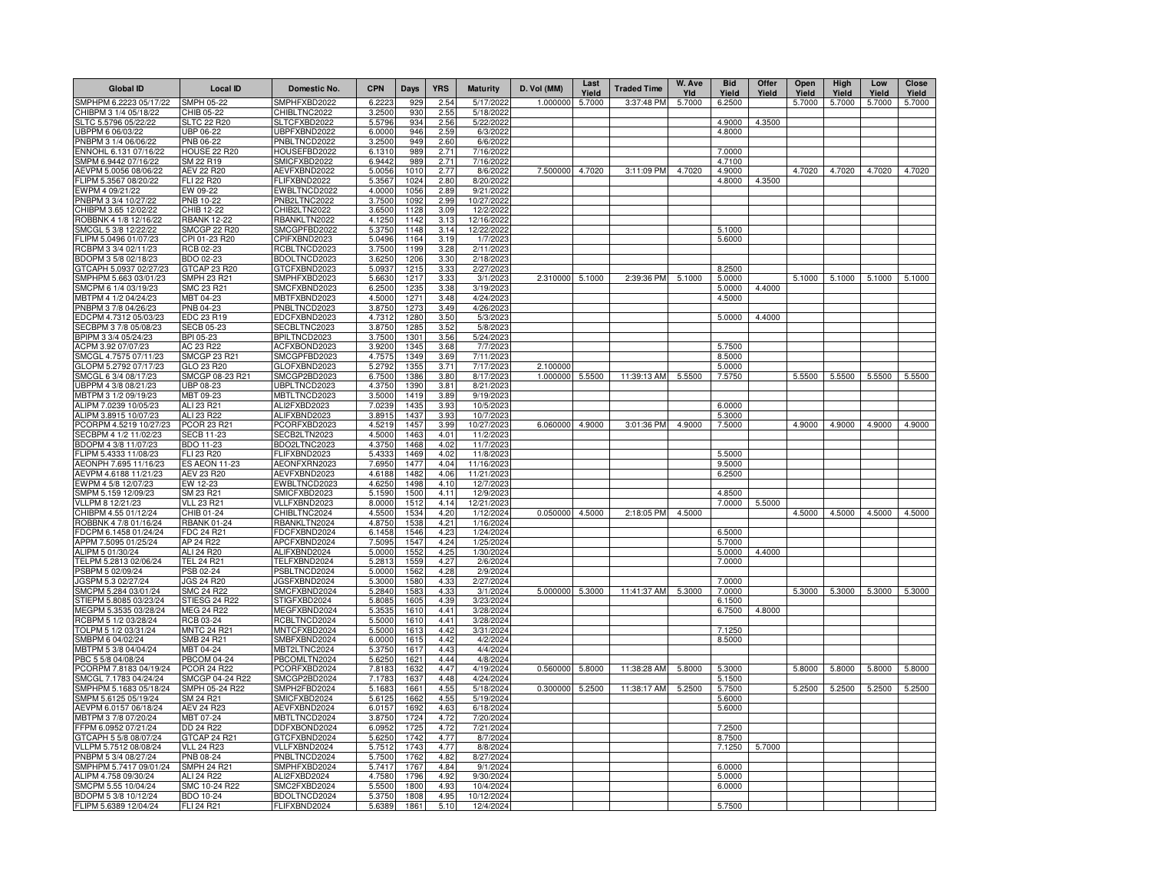| <b>Global ID</b>                               | <b>Local ID</b>                           | Domestic No.                 | <b>CPN</b>       | Days             | <b>YRS</b>   | <b>Maturity</b>         | D. Vol (MM) | Last<br>Yield | <b>Traded Time</b> | W. Ave<br>Yld | <b>Bid</b><br>Yield | Offer<br>Yield | Open<br>Yield | High<br>Yield | Low<br>Yield | <b>Close</b><br><b>Yield</b> |
|------------------------------------------------|-------------------------------------------|------------------------------|------------------|------------------|--------------|-------------------------|-------------|---------------|--------------------|---------------|---------------------|----------------|---------------|---------------|--------------|------------------------------|
| SMPHPM 6.2223 05/17/22                         | SMPH 05-22                                | SMPHFXBD2022                 | 6.2223           | 929              | 2.54         | 5/17/2022               | 1.000000    | 5.7000        | 3:37:48 PM         | 5.7000        | 6.2500              |                | 5.7000        | 5.7000        | 5.7000       | 5.7000                       |
| CHIBPM 3 1/4 05/18/22                          | CHIB 05-22                                | CHIBLTNC2022                 | 3.2500           | 930              | 2.55         | 5/18/2022               |             |               |                    |               |                     |                |               |               |              |                              |
| SLTC 5.5796 05/22/22                           | <b>SLTC 22 R20</b>                        | SLTCFXBD2022                 | 5.5796           | 934              | 2.56         | 5/22/2022               |             |               |                    |               | 4.9000              | 4.3500         |               |               |              |                              |
| UBPPM 6 06/03/22                               | UBP 06-22                                 | UBPFXBND2022                 | 6.0000           | 946<br>949       | 2.59         | 6/3/2022                |             |               |                    |               | 4.8000              |                |               |               |              |                              |
| PNBPM 3 1/4 06/06/22<br>ENNOHL 6.131 07/16/22  | PNB 06-22<br><b>HOUSE 22 R20</b>          | PNBLTNCD2022<br>HOUSEFBD2022 | 3.2500<br>6.1310 | 989              | 2.60<br>2.71 | 6/6/2022<br>7/16/2022   |             |               |                    |               | 7.0000              |                |               |               |              |                              |
| SMPM 6.9442 07/16/22                           | SM 22 R19                                 | SMICFXBD2022                 | 6.9442           | 989              | 2.71         | 7/16/2022               |             |               |                    |               | 4.7100              |                |               |               |              |                              |
| AEVPM 5.0056 08/06/22                          | <b>AEV 22 R20</b>                         | AEVFXBND2022                 | 5.0056           | 1010             | 2.77         | 8/6/2022                | 7.500000    | 4.7020        | 3:11:09 PM         | 4.7020        | 4.9000              |                | 4.7020        | 4.7020        | 4.7020       | 4.7020                       |
| FLIPM 5.3567 08/20/22                          | FLI 22 R20                                | FLIFXBND2022                 | 5.3567           | 1024             | 2.80         | 8/20/2022               |             |               |                    |               | 4.8000              | 4.3500         |               |               |              |                              |
| EWPM 4 09/21/22                                | EW 09-22                                  | EWBLTNCD2022                 | 4.0000           | 1056             | 2.89         | 9/21/2022               |             |               |                    |               |                     |                |               |               |              |                              |
| PNBPM 3 3/4 10/27/22                           | PNB 10-22                                 | PNB2LTNC2022                 | 3.7500           | 1092             | 2.99         | 10/27/2022              |             |               |                    |               |                     |                |               |               |              |                              |
| CHIBPM 3.65 12/02/22                           | CHIB 12-22                                | CHIB2LTN2022                 | 3.6500           | 1128             | 3.09         | 12/2/2022               |             |               |                    |               |                     |                |               |               |              |                              |
| ROBBNK 4 1/8 12/16/22                          | <b>RBANK 12-22</b><br><b>SMCGP 22 R20</b> | RBANKLTN2022<br>SMCGPFBD2022 | 4.1250           | 1142<br>1148     | 3.13<br>3.14 | 12/16/2022              |             |               |                    |               | 5.1000              |                |               |               |              |                              |
| SMCGL 5 3/8 12/22/22<br>FLIPM 5.0496 01/07/23  | CPI 01-23 R20                             | CPIFXBND2023                 | 5.3750<br>5.0496 | 1164             | 3.19         | 12/22/2022<br>1/7/2023  |             |               |                    |               | 5.6000              |                |               |               |              |                              |
| RCBPM 3 3/4 02/11/23                           | RCB 02-23                                 | RCBLTNCD2023                 | 3.7500           | 1199             | 3.28         | 2/11/2023               |             |               |                    |               |                     |                |               |               |              |                              |
| BDOPM 3 5/8 02/18/23                           | BDO 02-23                                 | BDOLTNCD2023                 | 3.6250           | 1206             | 3.30         | 2/18/2023               |             |               |                    |               |                     |                |               |               |              |                              |
| GTCAPH 5.0937 02/27/23                         | GTCAP 23 R20                              | GTCFXBND2023                 | 5.0937           | 1215             | 3.33         | 2/27/2023               |             |               |                    |               | 8.2500              |                |               |               |              |                              |
| SMPHPM 5.663 03/01/23                          | SMPH 23 R21                               | SMPHFXBD2023                 | 5.6630           | 1217             | 3.33         | 3/1/2023                | 2.310000    | 5.1000        | 2:39:36 PM         | 5.1000        | 5.0000              |                | 5.1000        | 5.1000        | 5.1000       | 5.1000                       |
| SMCPM 6 1/4 03/19/23                           | SMC 23 R21                                | SMCFXBND2023                 | 6.2500           | 1235             | 3.38         | 3/19/2023               |             |               |                    |               | 5.0000              | 4.4000         |               |               |              |                              |
| MBTPM 4 1/2 04/24/23                           | MBT 04-23                                 | MBTFXBND2023                 | 4.5000           | 1271             | 3.48         | 4/24/2023               |             |               |                    |               | 4.5000              |                |               |               |              |                              |
| PNBPM 3 7/8 04/26/23<br>EDCPM 4.7312 05/03/23  | PNB 04-23                                 | PNBLTNCD2023                 | 3.8750           | 1273             | 3.49         | 4/26/2023               |             |               |                    |               |                     |                |               |               |              |                              |
| SECBPM 3 7/8 05/08/23                          | EDC 23 R19<br><b>SECB 05-23</b>           | EDCFXBND2023<br>SECBLTNC2023 | 4.7312<br>3.8750 | 1280<br>1285     | 3.50<br>3.52 | 5/3/2023<br>5/8/2023    |             |               |                    |               | 5.0000              | 4.4000         |               |               |              |                              |
| BPIPM 3 3/4 05/24/23                           | BPI 05-23                                 | BPILTNCD2023                 | 3.7500           | 1301             | 3.56         | 5/24/2023               |             |               |                    |               |                     |                |               |               |              |                              |
| ACPM 3.92 07/07/23                             | AC 23 R22                                 | ACFXBOND2023                 | 3.9200           | 1345             | 3.68         | 7/7/2023                |             |               |                    |               | 5.7500              |                |               |               |              |                              |
| SMCGL 4.7575 07/11/23                          | <b>SMCGP 23 R21</b>                       | SMCGPFBD2023                 | 4.7575           | 1349             | 3.69         | 7/11/2023               |             |               |                    |               | 8.5000              |                |               |               |              |                              |
| GLOPM 5.2792 07/17/23                          | GLO 23 R20                                | GLOFXBND2023                 | 5.2792           | 1355             | 3.71         | 7/17/2023               | 2.10000     |               |                    |               | 5.0000              |                |               |               |              |                              |
| SMCGL 6 3/4 08/17/23                           | SMCGP 08-23 R21                           | SMCGP2BD2023                 | 6.7500           | 1386             | 3.80         | 8/17/2023               | 1.000000    | 5.5500        | 11:39:13 AM        | 5.5500        | 7.5750              |                | 5.5500        | 5.5500        | 5.5500       | 5.5500                       |
| UBPPM 4 3/8 08/21/23                           | UBP 08-23                                 | UBPLTNCD2023                 | 4.3750           | 1390             | 3.81         | 8/21/202                |             |               |                    |               |                     |                |               |               |              |                              |
| MBTPM 3 1/2 09/19/23                           | MBT 09-23                                 | MBTLTNCD2023                 | 3.5000           | 1419             | 3.89         | 9/19/202                |             |               |                    |               |                     |                |               |               |              |                              |
| ALIPM 7.0239 10/05/23<br>ALIPM 3.8915 10/07/23 | ALI 23 R21<br>ALI 23 R22                  | ALI2FXBD2023<br>ALIFXBND2023 | 7.0239<br>3.8915 | 1435<br>1437     | 3.93<br>3.93 | 10/5/2023<br>10/7/2023  |             |               |                    |               | 6.0000<br>5.3000    |                |               |               |              |                              |
| PCORPM 4.5219 10/27/23                         | PCOR 23 R21                               | PCORFXBD2023                 | 4.5219           | 1457             | 3.99         | 10/27/2023              | 6.060000    | 4.9000        | 3:01:36 PM         | 4.9000        | 7.5000              |                | 4.9000        | 4.9000        | 4.9000       | 4.9000                       |
| SECBPM 4 1/2 11/02/23                          | <b>SECB 11-23</b>                         | SECB2LTN2023                 | 4.5000           | 1463             | 4.01         | 11/2/202                |             |               |                    |               |                     |                |               |               |              |                              |
| BDOPM 4 3/8 11/07/23                           | <b>BDO 11-23</b>                          | BDO2LTNC2023                 | 4.3750           | 1468             | 4.02         | 11/7/2023               |             |               |                    |               |                     |                |               |               |              |                              |
| FLIPM 5.4333 11/08/23                          | FLI 23 R20                                | FLIFXBND2023                 | 5.4333           | 1469             | 4.02         | 11/8/2023               |             |               |                    |               | 5.5000              |                |               |               |              |                              |
| AEONPH 7.695 11/16/23                          | <b>ES AEON 11-23</b>                      | AEONFXRN2023                 | 7.6950           | 1477             | 4.04         | 11/16/2023              |             |               |                    |               | 9.5000              |                |               |               |              |                              |
| AEVPM 4.6188 11/21/23                          | AEV 23 R20                                | AEVFXBND2023                 | 4.6188           | 1482             | 4.06         | 11/21/2023              |             |               |                    |               | 6.2500              |                |               |               |              |                              |
| EWPM 4 5/8 12/07/23                            | EW 12-23                                  | EWBLTNCD2023                 | 4.6250           | 1498             | 4.10         | 12/7/2023               |             |               |                    |               |                     |                |               |               |              |                              |
| SMPM 5.159 12/09/23<br>VLLPM 8 12/21/23        | SM 23 R21<br><b>VLL 23 R21</b>            | SMICFXBD2023<br>VLLFXBND2023 | 5.1590<br>8.0000 | 1500<br>1512     | 4.11<br>4.14 | 12/9/2023<br>12/21/2023 |             |               |                    |               | 4.8500<br>7.0000    | 5.5000         |               |               |              |                              |
| CHIBPM 4.55 01/12/24                           | CHIB 01-24                                | CHIBLTNC2024                 | 4.5500           | 1534             | 4.20         | 1/12/2024               | 0.050000    | 4.5000        | 2:18:05 PM         | 4.5000        |                     |                | 4.5000        | 4.5000        | 4.5000       | 4.5000                       |
| ROBBNK 4 7/8 01/16/24                          | <b>RBANK 01-24</b>                        | RBANKLTN2024                 | 4.8750           | 1538             | 4.21         | 1/16/2024               |             |               |                    |               |                     |                |               |               |              |                              |
| FDCPM 6.1458 01/24/24                          | <b>FDC 24 R21</b>                         | FDCFXBND2024                 | 6.1458           | 1546             | 4.23         | 1/24/2024               |             |               |                    |               | 6.5000              |                |               |               |              |                              |
| APPM 7.5095 01/25/24                           | AP 24 R22                                 | APCFXBND2024                 | 7.5095           | 1547             | 4.24         | 1/25/2024               |             |               |                    |               | 5.7000              |                |               |               |              |                              |
| ALIPM 5 01/30/24                               | ALI 24 R20                                | ALIFXBND2024                 | 5.0000           | 1552             | 4.25         | 1/30/2024               |             |               |                    |               | 5.0000              | 4.4000         |               |               |              |                              |
| TELPM 5.2813 02/06/24                          | <b>TEL 24 R21</b>                         | TELFXBND2024                 | 5.2813           | 1559             | 4.27         | 2/6/2024                |             |               |                    |               | 7.0000              |                |               |               |              |                              |
| PSBPM 5 02/09/24                               | PSB 02-24                                 | PSBLTNCD2024<br>JGSFXBND2024 | 5.0000           | 1562             | 4.28<br>4.33 | 2/9/2024                |             |               |                    |               |                     |                |               |               |              |                              |
| JGSPM 5.3 02/27/24<br>SMCPM 5.284 03/01/24     | <b>JGS 24 R20</b><br><b>SMC 24 R22</b>    | SMCFXBND2024                 | 5.3000<br>5.2840 | 1580<br>1583     | 4.33         | 2/27/2024<br>3/1/2024   | 5.000000    | 5.3000        | 11:41:37 AM        | 5.3000        | 7.0000<br>7.0000    |                | 5.3000        | 5.3000        | 5.3000       | 5.3000                       |
| STIEPM 5.8085 03/23/24                         | STIESG 24 R22                             | STIGFXBD2024                 | 5.8085           | 1605             | 4.39         | 3/23/2024               |             |               |                    |               | 6.1500              |                |               |               |              |                              |
| MEGPM 5.3535 03/28/24                          | <b>MEG 24 R22</b>                         | MEGFXBND2024                 | 5.3535           | 1610             | 4.41         | 3/28/2024               |             |               |                    |               | 6.7500              | 4.8000         |               |               |              |                              |
| RCBPM 5 1/2 03/28/24                           | RCB 03-24                                 | RCBLTNCD2024                 | 5.5000           | 1610             | 4.41         | 3/28/2024               |             |               |                    |               |                     |                |               |               |              |                              |
| TOLPM 5 1/2 03/31/24                           | <b>MNTC 24 R21</b>                        | MNTCFXBD2024                 | 5.5000           | 161              | 4.42         | 3/31/2024               |             |               |                    |               | 7.1250              |                |               |               |              |                              |
| SMBPM 6 04/02/24                               | SMB 24 R21                                | SMBFXBND2024                 | 6.0000           | 161              | 4.42         | 4/2/2024                |             |               |                    |               | 8.5000              |                |               |               |              |                              |
| MBTPM 5 3/8 04/04/24<br>PBC 5 5/8 04/08/24     | MBT 04-24<br><b>PBCOM 04-24</b>           | MBT2LTNC2024<br>PBCOMLTN2024 | 5.3750<br>5.6250 | 161<br>162       | 4.43<br>4.44 | 4/4/2024<br>4/8/2024    |             |               |                    |               |                     |                |               |               |              |                              |
| PCORPM 7.8183 04/19/24                         | <b>PCOR 24 R22</b>                        | PCORFXBD2024                 | 7.8183           | 163              | 4.47         | 4/19/2024               | 0.560000    | 5.8000        | 11:38:28 AM        | 5.8000        | 5.3000              |                | 5.8000        | 5.8000        | 5.8000       | 5.8000                       |
| SMCGL 7.1783 04/24/24                          | SMCGP 04-24 R22                           | SMCGP2BD2024                 | 7.1783           | 163              | 4.48         | 4/24/2024               |             |               |                    |               | 5.1500              |                |               |               |              |                              |
| SMPHPM 5.1683 05/18/24                         | SMPH 05-24 R22                            | SMPH2FBD2024                 | 5.1683           | 166 <sup>°</sup> | 4.55         | 5/18/2024               | 0.300000    | 5.2500        | 11:38:17 AM        | 5.2500        | 5.7500              |                | 5.2500        | 5.2500        | 5.2500       | 5.2500                       |
| SMPM 5.6125 05/19/24                           | SM 24 R21                                 | SMICFXBD2024                 | 5.6125           | 166              | 4.55         | 5/19/2024               |             |               |                    |               | 5.6000              |                |               |               |              |                              |
| AEVPM 6.0157 06/18/24                          | <b>AEV 24 R23</b>                         | AEVFXBND2024                 | 6.0157           | 1692             | 4.63         | 6/18/2024               |             |               |                    |               | 5.6000              |                |               |               |              |                              |
| MBTPM 3 7/8 07/20/24                           | MBT 07-24                                 | MBTLTNCD2024                 | 3.8750           | 1724             | 4.72         | 7/20/2024               |             |               |                    |               |                     |                |               |               |              |                              |
| FFPM 6.0952 07/21/24                           | DD 24 R22                                 | DDFXBOND2024                 | 6.0952           | 1725             | 4.72         | 7/21/2024               |             |               |                    |               | 7.2500              |                |               |               |              |                              |
| GTCAPH 5 5/8 08/07/24                          | GTCAP 24 R21                              | GTCFXBND2024                 | 5.6250           | 1742             | 4.77         | 8/7/2024                |             |               |                    |               | 8.7500              |                |               |               |              |                              |
| VLLPM 5.7512 08/08/24<br>PNBPM 5 3/4 08/27/24  | <b>VLL 24 R23</b><br>PNB 08-24            | VLLFXBND2024<br>PNBLTNCD2024 | 5.7512<br>5.7500 | 1743<br>1762     | 4.77<br>4.82 | 8/8/2024<br>8/27/2024   |             |               |                    |               | 7.1250              | 5.7000         |               |               |              |                              |
| SMPHPM 5.7417 09/01/24                         | <b>SMPH 24 R21</b>                        | SMPHFXBD2024                 | 5.7417           | 1767             | 4.84         | 9/1/2024                |             |               |                    |               | 6.0000              |                |               |               |              |                              |
| ALIPM 4.758 09/30/24                           | ALI 24 R22                                | ALI2FXBD2024                 | 4.7580           | 1796             | 4.92         | 9/30/2024               |             |               |                    |               | 5.0000              |                |               |               |              |                              |
| SMCPM 5.55 10/04/24                            | SMC 10-24 R22                             | SMC2FXBD2024                 | 5.5500           | 180              | 4.93         | 10/4/2024               |             |               |                    |               | 6.0000              |                |               |               |              |                              |
| BDOPM 5 3/8 10/12/24                           | BDO 10-24                                 | BDOLTNCD2024                 | 5.3750           | 1808             | 4.95         | 10/12/2024              |             |               |                    |               |                     |                |               |               |              |                              |
| FLIPM 5.6389 12/04/24                          | <b>FLI 24 R21</b>                         | FLIFXBND2024                 | 5.6389           | 1861             | 5.10         | 12/4/2024               |             |               |                    |               | 5.7500              |                |               |               |              |                              |